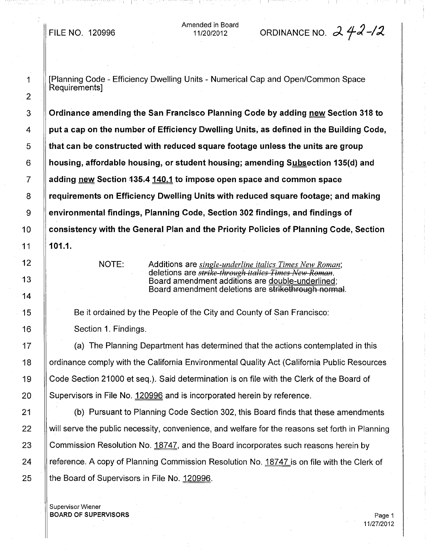Amended in Board

# 11/20/2012 ORDINANCE NO. d.. f2 -/~

i I

1 **I** [Planning Code - Efficiency Dwelling Units - Numerical Cap and Open/Common Space Requirements]

3 Ordinance amending the San Francisco Planning Code by adding new Section 318 to  $4 \parallel$  put a cap on the number of Efficiency Dwelling Units, as defined in the Building Code,  $5 \parallel$  that can be constructed with reduced square footage unless the units are group  $6 \parallel$  housing, affordable housing, or student housing; amending Subsection 135(d) and  $7 \parallel$  adding new Section 435.4 140.1 to impose open space and common space 8 **Figurements on Efficiency Dwelling Units with reduced square footage; and making 8** 9 environmental findings, Planning Code, Section 302 findings, and findings of 10 Consistency with the General Plan and the Priority Policies of Planning Code, Section 11 101.1.

NOTE: Additions are *single-underline italics Times New Roman;* deletions are *strike-through italics Times New Roman.* Board amendment additions are double-underlined; Board amendment deletions are strikethrough normal.

15 **Be it ordained by the People of the City and County of San Francisco:** 

16 **Section 1. Findings.** 

17 **II** (a) The Planning Department has determined that the actions contemplated in this 18 | ordinance comply with the California Environmental Quality Act (California Public Resources 19 Code Section 21000 et seq.). Said determination is on file with the Clerk of the Board of 20 Supervisors in File No. 120996 and is incorporated herein by reference.

21 **Fig. 21** (b) Pursuant to Planning Code Section 302, this Board finds that these amendments 22 Will serve the public necessity, convenience, and welfare for the reasons set forth in Planning 23  $\parallel$  Commission Resolution No. 18747, and the Board incorporates such reasons herein by 24 | reference. A copy of Planning Commission Resolution No. 18747 is on file with the Clerk of 25 | the Board of Supervisors in File No. 120996.

Supervisor Wiener BOARD OF SUPERVISORS Page 1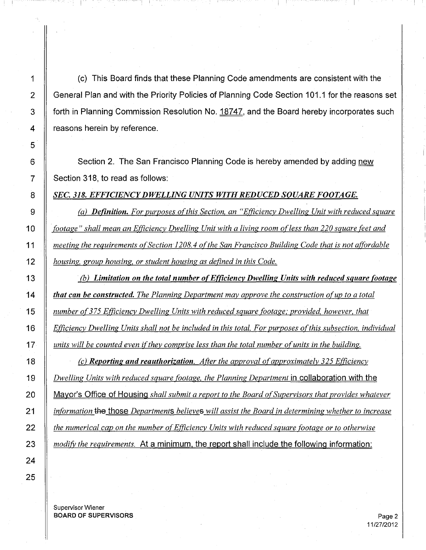1  $\parallel$  (c) This Board finds that these Planning Code amendments are consistent with the 2 | General Plan and with the Priority Policies of Planning Code Section 101.1 for the reasons set 3 Forth in Planning Commission Resolution No. 18747, and the Board hereby incorporates such 4 | reasons herein by reference.

r r

6 Section 2. The San Francisco Planning Code is hereby amended by adding new 7 | Section 318, to read as follows:

*SEC.* 318. *EFFICIENCYDWELLING UNITS WITH REDUCED SQUARE FOOTAGE.*

 *Ca) Definition. For purposes ofthis Section, an "Efficiency Dwelling Unit with reduced square* .*footage" shall mean an Efficiency Dwelling Unit with a living room ofless than 220 square feet and meeting the requirements ofSection-1208.* 4 *ofthe San Francisco Building Code that is not affordable housing, group housing, or student housing as defined in this Code.*

 (b) *Limitation on the total number ofEfficiency Dwelling Units with reduced square footage that can be constructed. The Planning Department may approve the construction ofup to a total number of375 Efficiency Dwelling Units with reduced square footage,' provided, however, that Efficiency Dwelling Units shall not be included in this total. For purposes ofthis subsection, individual units will be counted even ifthey comprise less than the total number ofunits in the building.*

 *Cc) Reporting and reauthorization. After the approval ofapproximately* 325 *Efficiency Dwelling Units with reduced square footage, the Planning Department* in collaboration with the Mayor's Office of Housing *shall submit a report to the Board ofSupervisors that provides whatever information* tHe those *Departments believes will assist the Board in determining whether to increase the numerical cap on the number ofEfficiency Units with reduced square footage or to otherwise modify the requirements.* At a minimum, the report shall include the following information:

Supervisor Wiener **BOARD OF SUPERVISORS** Page 2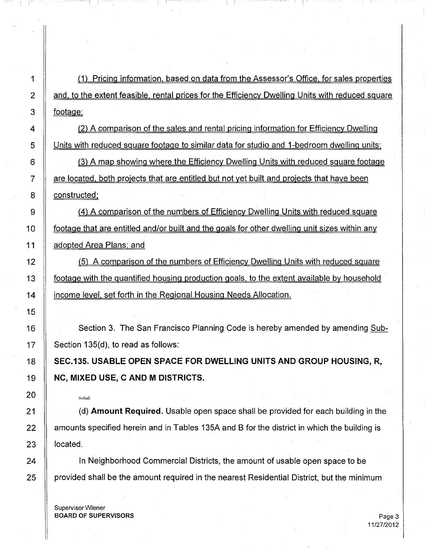1 (1) Pricing information. based on data from the Assessor's Office. for sales properties 2 | and, to the extent feasible, rental prices for the Efficiency Dwelling Units with reduced square  $3 \parallel$  footage;

4  $\parallel$  (2) A comparison of the sales and rental pricing information for Efficiency Dwelling 5 | Units with reduced square footage to similar data for studio and 1-bedroom dwelling units;

6  $\parallel$  (3) A map showing where the Efficiency Dwelling Units with reduced square footage  $7 \parallel$  are located, both projects that are entitled but not yet built and projects that have been 8 **constructed**:

9  $\parallel$  (4) A comparison of the numbers of Efficiency Dwelling Units with reduced square 10 **footage that are entitled and/or built and the goals for other dwelling unit sizes within any** 11 **A** adopted Area Plans; and

12 | (5) A comparison of the numbers of Efficiency Dwelling Units with reduced square 13 **footage with the quantified housing production goals, to the extent available by household** 14 **If income level, set forth in the Regional Housing Needs Allocation.** 

Section 3. The San Francisco Planning Code is hereby amended by amending Sub-Section 135(d), to read as follows:

SEC.135. USABLE OPEN SPACE FOR DWELLING UNITS AND GROUP HOUSING, R. NC, MIXED USE, C AND M DISTRICTS.

21 (d) **Amount Required.** Usable open space shall be provided for each building in the 22  $\parallel$  amounts specified herein and in Tables 135A and B for the district in which the building is

24 | In Neighborhood Commercial Districts, the amount of usable open space to be 25 all provided shall be the amount required in the nearest Residential District, but the minimum

Supervisor Wiener BOARD OF SUPERVISORS And the state of the state of the state of the state of the state of the state of the state of the state of the state of the state of the state of the state of the state of the state of the state of th

فينفسخ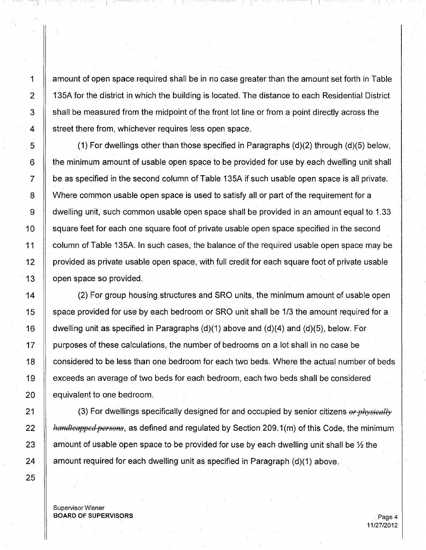1 amount of open space required shall be in no case greater than the amount set forth in Table 2 | 135A for the district in which the building is located. The distance to each Residential District 3 Shall be measured from the midpoint of the front lot line or from a point directly across the  $4 \parallel$  street there from, whichever requires less open space.

-I ' <sup>I</sup> <sup>I</sup>

 $\parallel$  (1) For dwellings other than those specified in Paragraphs (d)(2) through (d)(5) below, 6 the minimum amount of usable open space to be provided for use by each dwelling unit shall  $7 \parallel$  be as specified in the second column of Table 135A if such usable open space is all private. 8 N Where common usable open space is used to satisfy all or part of the requirement for a 9 dwelling unit, such common usable open space shall be provided in an amount equal to 1.33 10 Square feet for each one square foot of private usable open space specified in the second 11  $\parallel$  column of Table 135A. In such cases, the balance of the required usable open space may be 12 | provided as private usable open space, with full credit for each square foot of private usable 13 **open** space so provided.

 $\parallel$  (2) For group housing structures and SRO units, the minimum amount of usable open  $\parallel$  space provided for use by each bedroom or SRO unit shall be 1/3 the amount required for a  $\parallel$  dwelling unit as specified in Paragraphs (d)(1) above and (d)(4) and (d)(5), below. For 17 | purposes of these calculations, the number of bedrooms on a lot shall in no case be 18 | considered to be less than one bedroom for each two beds. Where the actual number of beds exceeds an average of two beds for each bedroom, each two beds shall be considered | equivalent to one bedroom.

 (3) For dwellings specifically designed for and occupied by senior citizens *orphysicelly Aandicapped persons*, as defined and regulated by Section 209.1 (m) of this Code, the minimum 23 Amount of usable open space to be provided for use by each dwelling unit shall be  $\frac{1}{2}$  the  $\parallel$  amount required for each dwelling unit as specified in Paragraph (d)(1) above.

Supervisor Wiener BOARD OF SUPERVISORS And the state of the state of the state of the state of the state of the state of the state of the state of the state of the state of the state of the state of the state of the state of the state of th

11/27/2012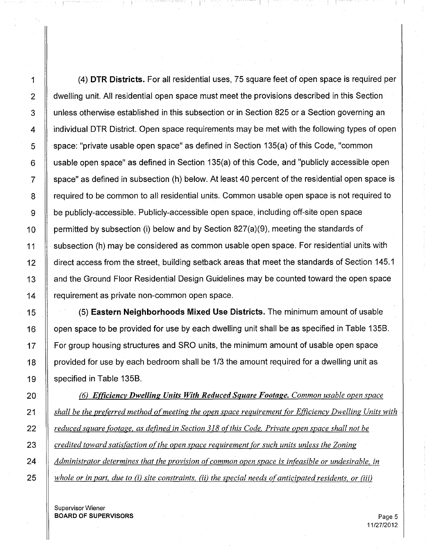1 (4) **DTR Districts.** For all residential uses, 75 square feet of open space is required per 2 A dwelling unit. All residential open space must meet the provisions described in this Section 3 | unless otherwise established in this subsection or in Section 825 or a Section governing an 4 I individual DTR District. Open space requirements may be met with the following types of open  $\overline{5}$   $\parallel$  space: "private usable open space" as defined in Section 135(a) of this Code, "common  $6 \parallel$  usable open space" as defined in Section 135(a) of this Code, and "publicly accessible open  $7 \parallel$  space" as defined in subsection (h) below. At least 40 percent of the residential open space is 8 Figure required to be common to all residential units. Common usable open space is not required to 9 be publicly-accessible. Publicly-accessible open space, including off-site open space 10  $\parallel$  permitted by subsection (i) below and by Section 827(a)(9), meeting the standards of 11 subsection (h) may be considered as common usable open space. For residential units with 12 | direct access from the street, building setback areas that meet the standards of Section 145.1 13 | and the Ground Floor Residential Design Guidelines may be counted toward the open space 14 | requirement as private non-common open space.

I I

15 (5) **Eastern Neighborhoods Mixed Use Districts.** The minimum amount of usable 16 | open space to be provided for use by each dwelling unit shall be as specified in Table 135B. 17 For group housing structures and SRO units, the minimum amount of usable open space 18  $\parallel$  provided for use by each bedroom shall be 1/3 the amount required for a dwelling unit as 19 | specified in Table 135B.

 (6) *Efficiency Dwelling Units With Reduced Square Footage. Common usable open space shall be the preferred method ofmeeting the open space requirement for Efficiency Dwelling Units with reduced square footage. as defined in Section* 318 *ofthis Code. Private open space shall not be credited toward satisfaction ofthe open space requirement for such units unless the Zoning Administrator determines that the provision ofcommon open space is infeasible or undesirable, in whole or in part, due to* (i) *site constraints,* (ii) *the special needs ofanticipated residents, or* (iii)

Supervisor Wiener **BOARD OF SUPERVISORS** Page 5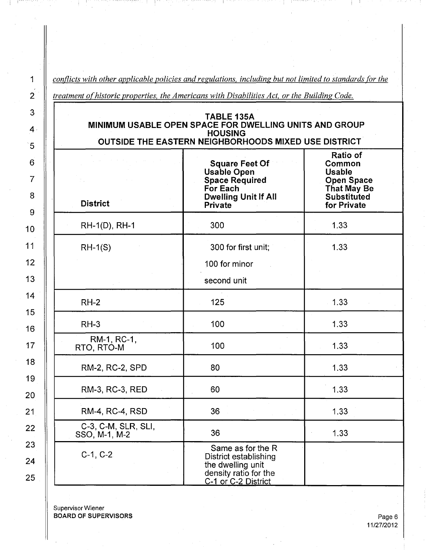*conflicts with other applicable policies and regulations, including but not limited to standards for the*

*treatment ofhistoric properties, the Americans with Disabilities Act, or the Building Code.*

| TABLE 135A<br>MINIMUM USABLE OPEN SPACE FOR DWELLING UNITS AND GROUP<br><b>HOUSING</b><br>OUTSIDE THE EASTERN NEIGHBORHOODS MIXED USE DISTRICT |                                                                                                                                   |                                                                                                              |
|------------------------------------------------------------------------------------------------------------------------------------------------|-----------------------------------------------------------------------------------------------------------------------------------|--------------------------------------------------------------------------------------------------------------|
| <b>District</b>                                                                                                                                | <b>Square Feet Of</b><br><b>Usable Open</b><br><b>Space Required</b><br>For Each<br><b>Dwelling Unit If All</b><br><b>Private</b> | Ratio of<br>Common<br><b>Usable</b><br><b>Open Space</b><br><b>That May Be</b><br>Substituted<br>for Private |
| RH-1(D), RH-1                                                                                                                                  | 300                                                                                                                               | 1.33                                                                                                         |
| $RH-1(S)$                                                                                                                                      | 300 for first unit;<br>100 for minor<br>second unit                                                                               | 1.33                                                                                                         |
| $RH-2$                                                                                                                                         | 125                                                                                                                               | 1.33                                                                                                         |
| $RH-3$                                                                                                                                         | 100                                                                                                                               | 1.33                                                                                                         |
| RM-1, RC-1,<br>RTO, RTO-M                                                                                                                      | 100                                                                                                                               | 1.33                                                                                                         |
| RM-2, RC-2, SPD                                                                                                                                | 80                                                                                                                                | 1.33                                                                                                         |
| RM-3, RC-3, RED                                                                                                                                | 60                                                                                                                                | 1.33                                                                                                         |
| <b>RM-4, RC-4, RSD</b>                                                                                                                         | 36                                                                                                                                | 1.33                                                                                                         |
| C-3, C-M, SLR, SLI,<br>SSO, M-1, M-2                                                                                                           | 36                                                                                                                                | 1.33                                                                                                         |
| $C-1, C-2$                                                                                                                                     | Same as for the R<br>District establishing<br>the dwelling unit<br>density ratio for the<br>C-1 or C-2 District                   |                                                                                                              |

Supervisor Wiener BOARD OF SUPERVISORS **Page 6** 

25

1

г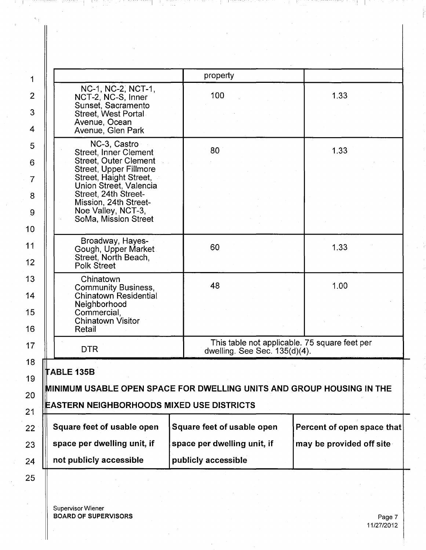ABLE 135B VlINIMUM USABLE OPEN SPACE FOR DWELLING UNITS AND GROUP HOUSING IN THE :::ASTERN NEIGHBORHOODS MIXED USE DISTRICTS Square feet of usable open  $\vert$  Square feet of usable open space per dwelling unit, if  $\|\cdot\|$  space per dwelling unit, if This table not applicable. 75 square feet per dwelling. See Sec. 135(d)(4). NC-1, NC-2, NCT-1, NCT-2, NC-S, Inner Sunset, Sacramento Street, West Portal Avenue, Ocean Avenue, Glen Park NC-3, Castro Street, Inner Clement Street, Outer Clement Street, Upper Fillmore Street, Haight Street, Union Street, Valencia Street, 24th Street-Mission, 24th Street-Noe Valley, NCT-3, SoMa, Mission Street Broadway, Hayes-Gough, Upper Market Street, North Beach, Polk Street Chinatown Community Business, Chinatown Residential Neighborhood Commercial, Chinatown Visitor Retail DTR not publicly accessible property 100 80 60 48 publicly accessible 1.33 1.33 1.33 1.00 Percent of open space that may be provided off site

In the construction of the construction of the construction of the construction of the construction of  $\Box$ 

Supervisor Wiener BOARD OF SUPERVISORS

1

2

3

4

5

6

7

8

9

10

11

12

13

14

15

16

17

18

19

20

21

22

23

24

25

Page 7 11/27/2012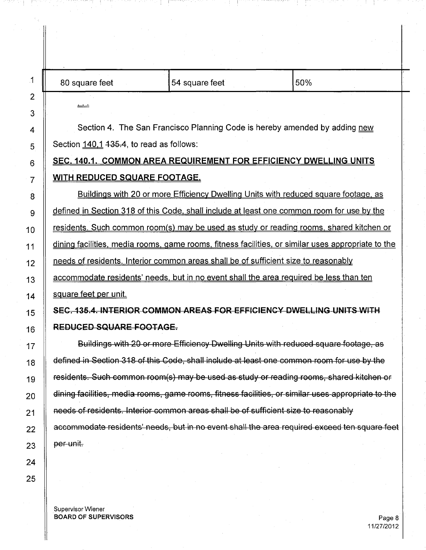| 80 square feet                                                                                     | 54 square feet                                                                             | 50%                                                                                                |
|----------------------------------------------------------------------------------------------------|--------------------------------------------------------------------------------------------|----------------------------------------------------------------------------------------------------|
| خض                                                                                                 |                                                                                            |                                                                                                    |
|                                                                                                    | Section 4. The San Francisco Planning Code is hereby amended by adding new                 |                                                                                                    |
| Section 140.1 435.4, to read as follows:                                                           |                                                                                            |                                                                                                    |
|                                                                                                    | <b>SEC. 140.1. COMMON AREA REQUIREMENT FOR EFFICIENCY DWELLING UNITS</b>                   |                                                                                                    |
| <u>WITH REDUCED SQUARE FOOTAGE.</u>                                                                |                                                                                            |                                                                                                    |
|                                                                                                    | Buildings with 20 or more Efficiency Dwelling Units with reduced square footage, as        |                                                                                                    |
|                                                                                                    | defined in Section 318 of this Code, shall include at least one common room for use by the |                                                                                                    |
|                                                                                                    |                                                                                            | residents. Such common room(s) may be used as study or reading rooms, shared kitchen or            |
|                                                                                                    |                                                                                            | dining facilities, media rooms, game rooms, fitness facilities, or similar uses appropriate to the |
|                                                                                                    | needs of residents. Interior common areas shall be of sufficient size to reasonably        |                                                                                                    |
|                                                                                                    | accommodate residents' needs, but in no event shall the area required be less than ten     |                                                                                                    |
| square feet per unit.                                                                              |                                                                                            |                                                                                                    |
|                                                                                                    | SEC. 135.4. INTERIOR COMMON AREAS FOR EFFICIENCY DWELLING UNITS WITH                       |                                                                                                    |
| <b>REDUCED SQUARE FOOTAGE.</b>                                                                     |                                                                                            |                                                                                                    |
| Buildings with 20 or more Efficiency Dwelling Units with reduced square footage, as                |                                                                                            |                                                                                                    |
| defined in Section 318 of this Code, shall include at least one common room for use by the         |                                                                                            |                                                                                                    |
| residents. Such common room(s) may be used as study or reading rooms, shared kitchen or            |                                                                                            |                                                                                                    |
| dining facilities, media rooms, game rooms, fitness facilities, or similar uses appropriate to the |                                                                                            |                                                                                                    |
|                                                                                                    | needs of residents. Interior common areas shall be of sufficient size to reasonably        |                                                                                                    |
|                                                                                                    |                                                                                            | accommodate residents' needs, but in no event shall the area required exceed ten square feet       |
| per unit.                                                                                          |                                                                                            |                                                                                                    |
|                                                                                                    |                                                                                            |                                                                                                    |
|                                                                                                    |                                                                                            |                                                                                                    |

Supervisor Wiener BOARD OF SUPERVISORS Page 8

 $\frac{1}{\sqrt{2}}$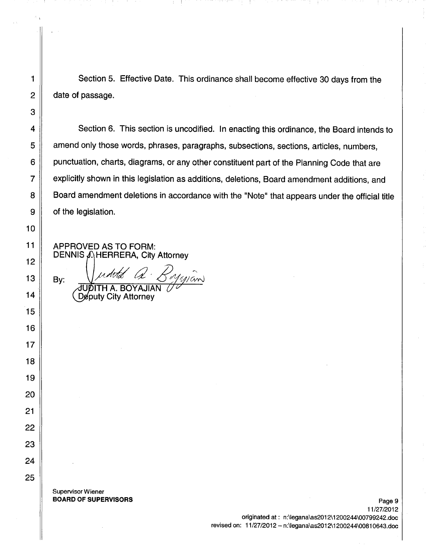1 Section 5. Effective Date. This ordinance shall become effective 30 days from the  $2 \parallel$  date of passage.

4 Section 6. This section is uncodified. In enacting this ordinance, the Board intends to **amend only those words, phrases, paragraphs, subsections, sections, articles, numbers, punctuation, charts, diagrams, or any other constituent part of the Planning Code that are Fig. 2** explicitly shown in this legislation as additions, deletions, Board amendment additions, and **Board amendment deletions in accordance with the "Note" that appears under the official title**  $9 \parallel$  of the legislation.

APPROVED AS TO FORM: DENNIS  $\Lambda$  HERRERA, City Attorney

10

11

12

13

14

15

16

17

18

19

20

21

22

23

24

25

3

By:

Supervisor Wiener BOARD OF SUPERVISORS **Page 9** 

A. BOYAJIAN

Deputy City Attorney

11/27/2012 originated at: n:\legana\as2012\1200244\00799242.doc revised on: 11/27/2012 - n:\Iegana\as2012\1200244\00810643.doc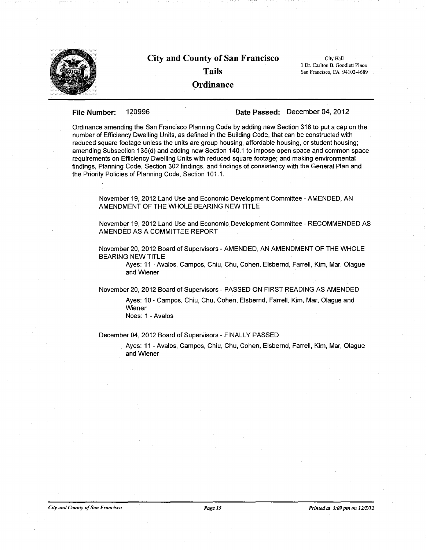

# **City and County of San Francisco Tails**

City Hall I Dr. Carlton B. Goodlett Place San Francisco, CA 94102-4689

## **Ordinance**

### **File Number:** 120996 **Date Passed:** December 04, 2012

Ordinance amending the San Francisco Planning Code by adding new Section 318 to put a cap on the number of Efficiency Dwelling Units, as defined in the Building Code, that can be constructed with reduced square footage unless the units are group housing, affordable housing, or student housing; amending Subsection 135(d) and adding new Section 140.1 to impose open space and common space requirements on Efficiency Dwelling Units with reduced square footage; and making environmental findings, Planning Code, Section 302 findings, and findings of consistency with the General Plan and the Priority Policies of Planning Code, Section 101.1.

November 19, 2012 Land Use and Economic Development Committee - AMENDED, AN AMENDMENT OF THE WHOLE BEARING NEW TITLE

November 19,2012 Land Use and Economic Development Committee - RECOMMENDED AS AMENDED AS A COMMITTEE REPORT

November 20, 2012 Board of Supervisors - AMENDED, AN AMENDMENT OF THE WHOLE BEARING NEW TITLE

Ayes: 11 - Avalos, Campos, Chiu, Ghu, Cohen, Elsbernd, Farrell, Kim, Mar, Olague and Wiener

November 20, 2012 Board of Supervisors - PASSED ONFIRST READING AS AMENDED

Ayes: 10 - Campos, Chiu, Chu, Cohen, Elsbernd, Farrell, Kim, Mar, Olague and Wiener Noes: 1 - Avalos

## December 04,2012 Board of Supervisors - FINALLY PASSED

Ayes: 11 - Avalos, Campos, Chiu, Chu, Cohen, Elsbernd, Farrell, Kim, Mar, Olague and Wiener